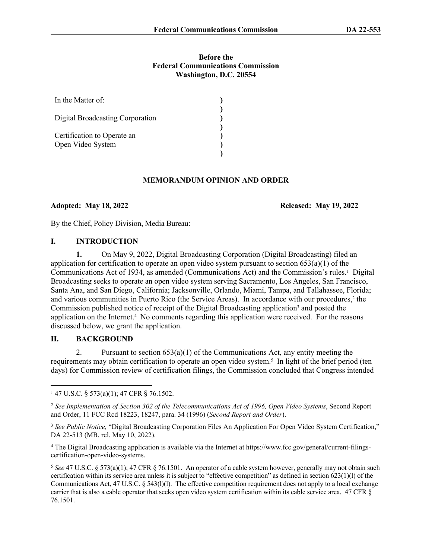#### **Before the Federal Communications Commission Washington, D.C. 20554**

| In the Matter of:                                |  |
|--------------------------------------------------|--|
| Digital Broadcasting Corporation                 |  |
| Certification to Operate an<br>Open Video System |  |

#### **MEMORANDUM OPINION AND ORDER**

## **Adopted: May 18, 2022 Released: May 19, 2022**

By the Chief, Policy Division, Media Bureau:

#### **I. INTRODUCTION**

**1.** On May 9, 2022, Digital Broadcasting Corporation (Digital Broadcasting) filed an application for certification to operate an open video system pursuant to section  $653(a)(1)$  of the Communications Act of 1934, as amended (Communications Act) and the Commission's rules.<sup>1</sup> Digital Broadcasting seeks to operate an open video system serving Sacramento, Los Angeles, San Francisco, Santa Ana, and San Diego, California; Jacksonville, Orlando, Miami, Tampa, and Tallahassee, Florida; and various communities in Puerto Rico (the Service Areas). In accordance with our procedures,<sup>2</sup> the Commission published notice of receipt of the Digital Broadcasting application<sup>3</sup> and posted the application on the Internet.<sup>4</sup> No comments regarding this application were received. For the reasons discussed below, we grant the application.

## **II. BACKGROUND**

2. Pursuant to section  $653(a)(1)$  of the Communications Act, any entity meeting the requirements may obtain certification to operate an open video system.<sup>5</sup> In light of the brief period (ten days) for Commission review of certification filings, the Commission concluded that Congress intended

4 The Digital Broadcasting application is available via the Internet at https://www.fcc.gov/general/current-filingscertification-open-video-systems.

<sup>1</sup> 47 U.S.C. § 573(a)(1); 47 CFR § 76.1502.

<sup>2</sup> *See Implementation of Section 302 of the Telecommunications Act of 1996, Open Video Systems*, Second Report and Order, 11 FCC Rcd 18223, 18247, para. 34 (1996) (*Second Report and Order*).

<sup>3</sup> *See Public Notice,* "Digital Broadcasting Corporation Files An Application For Open Video System Certification," DA 22-513 (MB, rel. May 10, 2022).

<sup>5</sup>  *See* 47 U.S.C. § 573(a)(1); 47 CFR § 76.1501. An operator of a cable system however, generally may not obtain such certification within its service area unless it is subject to "effective competition" as defined in section 623(1)(l) of the Communications Act, 47 U.S.C. § 543(l)(l). The effective competition requirement does not apply to a local exchange carrier that is also a cable operator that seeks open video system certification within its cable service area. 47 CFR § 76.1501.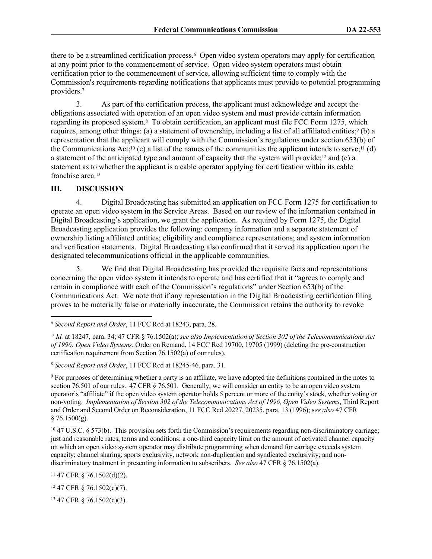there to be a streamlined certification process.<sup>6</sup> Open video system operators may apply for certification at any point prior to the commencement of service. Open video system operators must obtain certification prior to the commencement of service, allowing sufficient time to comply with the Commission's requirements regarding notifications that applicants must provide to potential programming providers.<sup>7</sup>

3. As part of the certification process, the applicant must acknowledge and accept the obligations associated with operation of an open video system and must provide certain information regarding its proposed system.<sup>8</sup> To obtain certification, an applicant must file FCC Form 1275, which requires, among other things: (a) a statement of ownership, including a list of all affiliated entities;<sup>9</sup> (b) a representation that the applicant will comply with the Commission's regulations under section 653(b) of the Communications Act;<sup>10</sup> (c) a list of the names of the communities the applicant intends to serve;<sup>11</sup> (d) a statement of the anticipated type and amount of capacity that the system will provide;12 and (e) a statement as to whether the applicant is a cable operator applying for certification within its cable franchise area.<sup>13</sup>

# **III. DISCUSSION**

4. Digital Broadcasting has submitted an application on FCC Form 1275 for certification to operate an open video system in the Service Areas. Based on our review of the information contained in Digital Broadcasting's application, we grant the application. As required by Form 1275, the Digital Broadcasting application provides the following: company information and a separate statement of ownership listing affiliated entities; eligibility and compliance representations; and system information and verification statements. Digital Broadcasting also confirmed that it served its application upon the designated telecommunications official in the applicable communities.

5. We find that Digital Broadcasting has provided the requisite facts and representations concerning the open video system it intends to operate and has certified that it "agrees to comply and remain in compliance with each of the Commission's regulations" under Section 653(b) of the Communications Act. We note that if any representation in the Digital Broadcasting certification filing proves to be materially false or materially inaccurate, the Commission retains the authority to revoke

<sup>11</sup> 47 CFR § 76.1502(d)(2).

<sup>12</sup> 47 CFR § 76.1502(c)(7).

13 47 CFR § 76.1502(c)(3).

<sup>6</sup>  *Second Report and Order*, 11 FCC Rcd at 18243, para. 28.

<sup>7</sup> *Id.* at 18247, para. 34; 47 CFR § 76.1502(a); *see also Implementation of Section 302 of the Telecommunications Act of 1996: Open Video Systems*, Order on Remand, 14 FCC Rcd 19700, 19705 (1999) (deleting the pre-construction certification requirement from Section 76.1502(a) of our rules).

<sup>8</sup>  *Second Report and Order*, 11 FCC Rcd at 18245-46, para. 31.

<sup>9</sup> For purposes of determining whether a party is an affiliate, we have adopted the definitions contained in the notes to section 76.501 of our rules. 47 CFR § 76.501. Generally, we will consider an entity to be an open video system operator's "affiliate" if the open video system operator holds 5 percent or more of the entity's stock, whether voting or non-voting. *Implementation of Section 302 of the Telecommunications Act of 1996, Open Video Systems*, Third Report and Order and Second Order on Reconsideration, 11 FCC Rcd 20227, 20235, para. 13 (1996); s*ee also* 47 CFR  $§ 76.1500(g).$ 

 $10\,47$  U.S.C. § 573(b). This provision sets forth the Commission's requirements regarding non-discriminatory carriage; just and reasonable rates, terms and conditions; a one-third capacity limit on the amount of activated channel capacity on which an open video system operator may distribute programming when demand for carriage exceeds system capacity; channel sharing; sports exclusivity, network non-duplication and syndicated exclusivity; and nondiscriminatory treatment in presenting information to subscribers. *See also* 47 CFR § 76.1502(a).